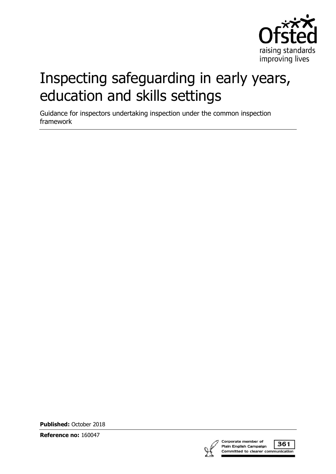

# Inspecting safeguarding in early years, education and skills settings

Guidance for inspectors undertaking inspection under the common inspection framework

**Published:** October 2018

**Reference no:** 160047



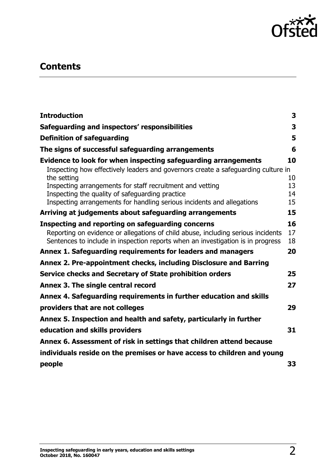

# **Contents**

| <b>Introduction</b>                                                                                                                                                                                                      | 3              |
|--------------------------------------------------------------------------------------------------------------------------------------------------------------------------------------------------------------------------|----------------|
| Safeguarding and inspectors' responsibilities                                                                                                                                                                            | 3              |
| <b>Definition of safeguarding</b>                                                                                                                                                                                        | 5              |
| The signs of successful safeguarding arrangements                                                                                                                                                                        | 6              |
| Evidence to look for when inspecting safeguarding arrangements<br>Inspecting how effectively leaders and governors create a safeguarding culture in<br>the setting                                                       | 10<br>10       |
| Inspecting arrangements for staff recruitment and vetting<br>Inspecting the quality of safeguarding practice<br>Inspecting arrangements for handling serious incidents and allegations                                   | 13<br>14<br>15 |
| Arriving at judgements about safeguarding arrangements                                                                                                                                                                   | 15             |
| Inspecting and reporting on safeguarding concerns<br>Reporting on evidence or allegations of child abuse, including serious incidents<br>Sentences to include in inspection reports when an investigation is in progress | 16<br>17<br>18 |
| Annex 1. Safeguarding requirements for leaders and managers                                                                                                                                                              | 20             |
| Annex 2. Pre-appointment checks, including Disclosure and Barring                                                                                                                                                        |                |
| Service checks and Secretary of State prohibition orders                                                                                                                                                                 | 25             |
| Annex 3. The single central record                                                                                                                                                                                       | 27             |
| Annex 4. Safeguarding requirements in further education and skills                                                                                                                                                       |                |
| providers that are not colleges                                                                                                                                                                                          | 29             |
| Annex 5. Inspection and health and safety, particularly in further                                                                                                                                                       |                |
| education and skills providers                                                                                                                                                                                           | 31             |
| Annex 6. Assessment of risk in settings that children attend because                                                                                                                                                     |                |
| individuals reside on the premises or have access to children and young                                                                                                                                                  |                |
| people                                                                                                                                                                                                                   | 33             |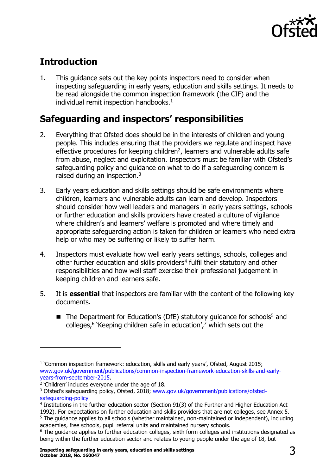

# <span id="page-2-0"></span>**Introduction**

1. This guidance sets out the key points inspectors need to consider when inspecting safeguarding in early years, education and skills settings. It needs to be read alongside the common inspection framework (the CIF) and the individual remit inspection handbooks. $<sup>1</sup>$ </sup>

# <span id="page-2-1"></span>**Safeguarding and inspectors' responsibilities**

- 2. Everything that Ofsted does should be in the interests of children and young people. This includes ensuring that the providers we regulate and inspect have effective procedures for keeping children<sup>2</sup>, learners and vulnerable adults safe from abuse, neglect and exploitation. Inspectors must be familiar with Ofsted's safeguarding policy and guidance on what to do if a safeguarding concern is raised during an inspection.<sup>3</sup>
- 3. Early years education and skills settings should be safe environments where children, learners and vulnerable adults can learn and develop. Inspectors should consider how well leaders and managers in early years settings, schools or further education and skills providers have created a culture of vigilance where children's and learners' welfare is promoted and where timely and appropriate safeguarding action is taken for children or learners who need extra help or who may be suffering or likely to suffer harm.
- 4. Inspectors must evaluate how well early years settings, schools, colleges and other further education and skills providers<sup>4</sup> fulfil their statutory and other responsibilities and how well staff exercise their professional judgement in keeping children and learners safe.
- 5. It is **essential** that inspectors are familiar with the content of the following key documents.
	- The Department for Education's (DfE) statutory guidance for schools<sup>5</sup> and colleges,<sup>6</sup> 'Keeping children safe in education',<sup>7</sup> which sets out the

<sup>&</sup>lt;sup>1</sup> 'Common inspection framework: education, skills and early years', Ofsted, August 2015; [www.gov.uk/government/publications/common-inspection-framework-education-skills-and-early](http://www.gov.uk/government/publications/common-inspection-framework-education-skills-and-early-years-from-september-2015)[years-from-september-2015.](http://www.gov.uk/government/publications/common-inspection-framework-education-skills-and-early-years-from-september-2015)

<sup>&</sup>lt;sup>2</sup> 'Children' includes everyone under the age of 18.

<sup>&</sup>lt;sup>3</sup> Ofsted's safeguarding policy, Ofsted, 2018; [www.gov.uk/government/publications/ofsted](https://www.gov.uk/government/publications/ofsted-safeguarding-policy)[safeguarding-policy](https://www.gov.uk/government/publications/ofsted-safeguarding-policy)

<sup>4</sup> Institutions in the further education sector (Section 91(3) of the Further and Higher Education Act 1992). For expectations on further education and skills providers that are not colleges, see Annex 5.

<sup>&</sup>lt;sup>5</sup> The quidance applies to all schools (whether maintained, non-maintained or independent), including academies, free schools, pupil referral units and maintained nursery schools.

<sup>&</sup>lt;sup>6</sup> The guidance applies to further education colleges, sixth form colleges and institutions designated as being within the further education sector and relates to young people under the age of 18, but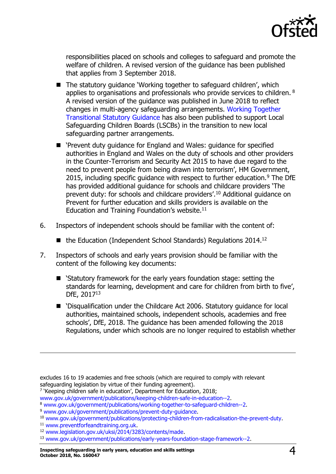

responsibilities placed on schools and colleges to safeguard and promote the welfare of children. A revised version of the guidance has been published that applies from 3 September 2018.

- $\blacksquare$  The statutory quidance 'Working together to safeguard children', which applies to organisations and professionals who provide services to children. <sup>8</sup> A revised version of the guidance was published in June 2018 to reflect changes in multi-agency safeguarding arrangements. [Working Together](https://www.gov.uk/government/publications/working-together-to-safeguard-children--2)  [Transitional Statutory Guidance](https://www.gov.uk/government/publications/working-together-to-safeguard-children--2) has also been published to support Local Safeguarding Children Boards (LSCBs) in the transition to new local safeguarding partner arrangements.
- 'Prevent duty quidance for England and Wales: quidance for specified authorities in England and Wales on the duty of schools and other providers in the Counter-Terrorism and Security Act 2015 to have due regard to the need to prevent people from being drawn into terrorism', HM Government, 2015, including specific quidance with respect to further education.<sup>9</sup> The DfE has provided additional guidance for schools and childcare providers 'The prevent duty: for schools and childcare providers'.<sup>10</sup> Additional guidance on Prevent for further education and skills providers is available on the Education and Training Foundation's website. $11$
- 6. Inspectors of independent schools should be familiar with the content of:
	- $\blacksquare$  the Education (Independent School Standards) Regulations 2014.<sup>12</sup>
- 7. Inspectors of schools and early years provision should be familiar with the content of the following key documents:
	- 'Statutory framework for the early years foundation stage: setting the standards for learning, development and care for children from birth to five', DfE, 2017<sup>13</sup>
	- 'Disqualification under the Childcare Act 2006. Statutory guidance for local authorities, maintained schools, independent schools, academies and free schools', DfE, 2018. The guidance has been amended following the 2018 Regulations, under which schools are no longer required to establish whether

<sup>9</sup> [www.gov.uk/government/publications/prevent-duty-guidance.](http://www.gov.uk/government/publications/prevent-duty-guidance)

excludes 16 to 19 academies and free schools (which are required to comply with relevant safeguarding legislation by virtue of their funding agreement).

<sup>&</sup>lt;sup>7</sup> 'Keeping children safe in education', Department for Education, 2018;

[www.gov.uk/government/publications/keeping-children-safe-in-education--2.](http://www.gov.uk/government/publications/keeping-children-safe-in-education--2)

<sup>8</sup> [www.gov.uk/government/publications/working-together-to-safeguard-children--2.](http://www.gov.uk/government/publications/working-together-to-safeguard-children--2)

<sup>10</sup> [www.gov.uk/government/publications/protecting-children-from-radicalisation-the-prevent-duty.](http://www.gov.uk/government/publications/protecting-children-from-radicalisation-the-prevent-duty)

<sup>11</sup> [www.preventforfeandtraining.org.uk.](http://www.preventforfeandtraining.org.uk/)

<sup>12</sup> [www.legislation.gov.uk/uksi/2014/3283/contents/made.](http://www.legislation.gov.uk/uksi/2014/3283/contents/made)

<sup>13</sup> [www.gov.uk/government/publications/early-years-foundation-stage-framework--2.](http://www.gov.uk/government/publications/early-years-foundation-stage-framework--2)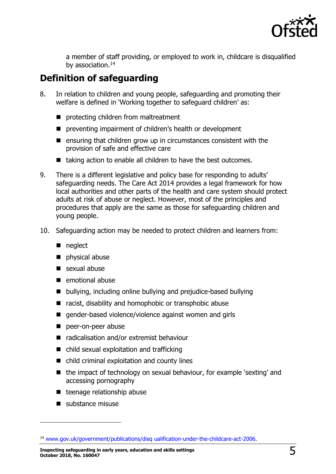

a member of staff providing, or employed to work in, childcare is disqualified by association.<sup>14</sup>

# <span id="page-4-0"></span>**Definition of safeguarding**

- 8. In relation to children and young people, safeguarding and promoting their welfare is defined in 'Working together to safeguard children' as:
	- protecting children from maltreatment
	- **P** preventing impairment of children's health or development
	- $\blacksquare$  ensuring that children grow up in circumstances consistent with the provision of safe and effective care
	- $\blacksquare$  taking action to enable all children to have the best outcomes.
- 9. There is a different legislative and policy base for responding to adults' safeguarding needs. The Care Act 2014 provides a legal framework for how local authorities and other parts of the health and care system should protect adults at risk of abuse or neglect. However, most of the principles and procedures that apply are the same as those for safeguarding children and young people.
- 10. Safeguarding action may be needed to protect children and learners from:
	- neglect
	- physical abuse
	- sexual abuse
	- **E** emotional abuse
	- bullying, including online bullying and prejudice-based bullying
	- racist, disability and homophobic or transphobic abuse
	- gender-based violence/violence against women and girls
	- peer-on-peer abuse
	- radicalisation and/or extremist behaviour
	- child sexual exploitation and trafficking
	- child criminal exploitation and county lines
	- the impact of technology on sexual behaviour, for example 'sexting' and accessing pornography
	- $\blacksquare$  teenage relationship abuse
	- substance misuse

j

**Inspecting safeguarding in early years, education and skills settings October 2018, No. 160047** 5

<sup>14</sup> [www.gov.uk/government/publications/disq](http://www.gov.uk/government/publications/disq%20ualification-under-the-childcare-act-2006) ualification-under-the-childcare-act-2006.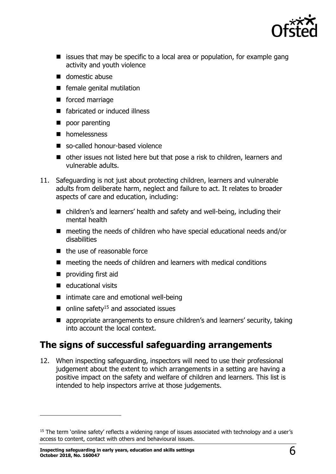

- $\blacksquare$  issues that may be specific to a local area or population, for example gang activity and youth violence
- $\blacksquare$  domestic abuse
- $\blacksquare$  female genital mutilation
- **forced marriage**
- fabricated or induced illness
- poor parenting
- **n** homelessness
- so-called honour-based violence
- other issues not listed here but that pose a risk to children, learners and vulnerable adults.
- 11. Safeguarding is not just about protecting children, learners and vulnerable adults from deliberate harm, neglect and failure to act. It relates to broader aspects of care and education, including:
	- children's and learners' health and safety and well-being, including their mental health
	- meeting the needs of children who have special educational needs and/or disabilities
	- $\blacksquare$  the use of reasonable force
	- meeting the needs of children and learners with medical conditions
	- **providing first aid**
	- $\blacksquare$  educational visits

j

- intimate care and emotional well-being
- $\blacksquare$  online safety<sup>15</sup> and associated issues
- appropriate arrangements to ensure children's and learners' security, taking into account the local context.

### <span id="page-5-0"></span>**The signs of successful safeguarding arrangements**

12. When inspecting safeguarding, inspectors will need to use their professional judgement about the extent to which arrangements in a setting are having a positive impact on the safety and welfare of children and learners. This list is intended to help inspectors arrive at those judgements.

<sup>&</sup>lt;sup>15</sup> The term 'online safety' reflects a widening range of issues associated with technology and a user's access to content, contact with others and behavioural issues.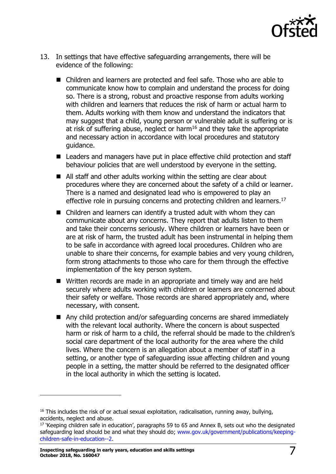

- 13. In settings that have effective safeguarding arrangements, there will be evidence of the following:
	- Children and learners are protected and feel safe. Those who are able to communicate know how to complain and understand the process for doing so. There is a strong, robust and proactive response from adults working with children and learners that reduces the risk of harm or actual harm to them. Adults working with them know and understand the indicators that may suggest that a child, young person or vulnerable adult is suffering or is at risk of suffering abuse, neglect or harm<sup>16</sup> and they take the appropriate and necessary action in accordance with local procedures and statutory guidance.
	- Leaders and managers have put in place effective child protection and staff behaviour policies that are well understood by everyone in the setting.
	- All staff and other adults working within the setting are clear about procedures where they are concerned about the safety of a child or learner. There is a named and designated lead who is empowered to play an effective role in pursuing concerns and protecting children and learners.<sup>17</sup>
	- Children and learners can identify a trusted adult with whom they can communicate about any concerns. They report that adults listen to them and take their concerns seriously. Where children or learners have been or are at risk of harm, the trusted adult has been instrumental in helping them to be safe in accordance with agreed local procedures. Children who are unable to share their concerns, for example babies and very young children, form strong attachments to those who care for them through the effective implementation of the key person system.
	- Written records are made in an appropriate and timely way and are held securely where adults working with children or learners are concerned about their safety or welfare. Those records are shared appropriately and, where necessary, with consent.
	- Any child protection and/or safeguarding concerns are shared immediately with the relevant local authority. Where the concern is about suspected harm or risk of harm to a child, the referral should be made to the children's social care department of the local authority for the area where the child lives. Where the concern is an allegation about a member of staff in a setting, or another type of safeguarding issue affecting children and young people in a setting, the matter should be referred to the designated officer in the local authority in which the setting is located.

 $16$  This includes the risk of or actual sexual exploitation, radicalisation, running away, bullying, accidents, neglect and abuse.

<sup>&</sup>lt;sup>17</sup> 'Keeping children safe in education', paragraphs 59 to 65 and Annex B, sets out who the designated safeguarding lead should be and what they should do; [www.gov.uk/government/publications/keeping](http://www.gov.uk/government/publications/keeping-children-safe-in-education--2)[children-safe-in-education--2.](http://www.gov.uk/government/publications/keeping-children-safe-in-education--2)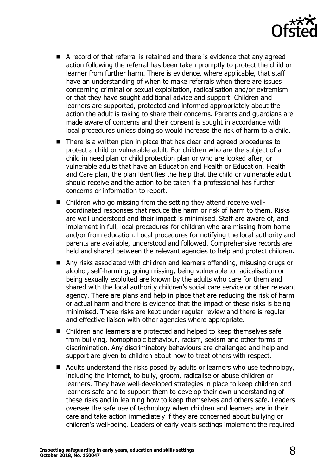

- A record of that referral is retained and there is evidence that any agreed action following the referral has been taken promptly to protect the child or learner from further harm. There is evidence, where applicable, that staff have an understanding of when to make referrals when there are issues concerning criminal or sexual exploitation, radicalisation and/or extremism or that they have sought additional advice and support. Children and learners are supported, protected and informed appropriately about the action the adult is taking to share their concerns. Parents and guardians are made aware of concerns and their consent is sought in accordance with local procedures unless doing so would increase the risk of harm to a child.
- There is a written plan in place that has clear and agreed procedures to protect a child or vulnerable adult. For children who are the subject of a child in need plan or child protection plan or who are looked after, or vulnerable adults that have an Education and Health or Education, Health and Care plan, the plan identifies the help that the child or vulnerable adult should receive and the action to be taken if a professional has further concerns or information to report.
- Children who go missing from the setting they attend receive wellcoordinated responses that reduce the harm or risk of harm to them. Risks are well understood and their impact is minimised. Staff are aware of, and implement in full, local procedures for children who are missing from home and/or from education. Local procedures for notifying the local authority and parents are available, understood and followed. Comprehensive records are held and shared between the relevant agencies to help and protect children.
- Any risks associated with children and learners offending, misusing drugs or alcohol, self-harming, going missing, being vulnerable to radicalisation or being sexually exploited are known by the adults who care for them and shared with the local authority children's social care service or other relevant agency. There are plans and help in place that are reducing the risk of harm or actual harm and there is evidence that the impact of these risks is being minimised. These risks are kept under regular review and there is regular and effective liaison with other agencies where appropriate.
- Children and learners are protected and helped to keep themselves safe from bullying, homophobic behaviour, racism, sexism and other forms of discrimination. Any discriminatory behaviours are challenged and help and support are given to children about how to treat others with respect.
- Adults understand the risks posed by adults or learners who use technology, including the internet, to bully, groom, radicalise or abuse children or learners. They have well-developed strategies in place to keep children and learners safe and to support them to develop their own understanding of these risks and in learning how to keep themselves and others safe. Leaders oversee the safe use of technology when children and learners are in their care and take action immediately if they are concerned about bullying or children's well-being. Leaders of early years settings implement the required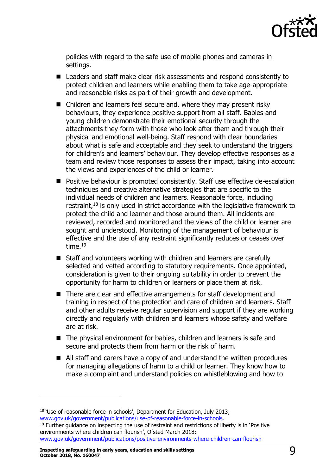

policies with regard to the safe use of mobile phones and cameras in settings.

- Leaders and staff make clear risk assessments and respond consistently to protect children and learners while enabling them to take age-appropriate and reasonable risks as part of their growth and development.
- Children and learners feel secure and, where they may present risky behaviours, they experience positive support from all staff. Babies and young children demonstrate their emotional security through the attachments they form with those who look after them and through their physical and emotional well-being. Staff respond with clear boundaries about what is safe and acceptable and they seek to understand the triggers for children's and learners' behaviour. They develop effective responses as a team and review those responses to assess their impact, taking into account the views and experiences of the child or learner.
- Positive behaviour is promoted consistently. Staff use effective de-escalation techniques and creative alternative strategies that are specific to the individual needs of children and learners. Reasonable force, including restraint, $18$  is only used in strict accordance with the legislative framework to protect the child and learner and those around them. All incidents are reviewed, recorded and monitored and the views of the child or learner are sought and understood. Monitoring of the management of behaviour is effective and the use of any restraint significantly reduces or ceases over time.<sup>19</sup>
- Staff and volunteers working with children and learners are carefully selected and vetted according to statutory requirements. Once appointed, consideration is given to their ongoing suitability in order to prevent the opportunity for harm to children or learners or place them at risk.
- There are clear and effective arrangements for staff development and training in respect of the protection and care of children and learners. Staff and other adults receive regular supervision and support if they are working directly and regularly with children and learners whose safety and welfare are at risk.
- The physical environment for babies, children and learners is safe and secure and protects them from harm or the risk of harm.
- All staff and carers have a copy of and understand the written procedures for managing allegations of harm to a child or learner. They know how to make a complaint and understand policies on whistleblowing and how to

<sup>&</sup>lt;sup>18</sup> 'Use of reasonable force in schools', Department for Education, July 2013; [www.gov.uk/government/publications/use-of-reasonable-force-in-schools.](http://www.gov.uk/government/publications/use-of-reasonable-force-in-schools)  $<sup>19</sup>$  Further quidance on inspecting the use of restraint and restrictions of liberty is in 'Positive</sup> environments where children can flourish', Ofsted March 2018: [www.gov.uk/government/publications/positive-environments-where-children-can-flourish](https://www.gov.uk/government/publications/positive-environments-where-children-can-flourish)

**Inspecting safeguarding in early years, education and skills settings October 2018, No. 160047** 9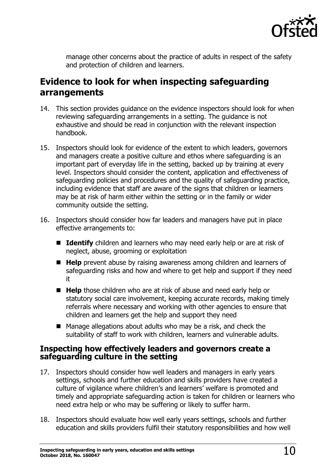

manage other concerns about the practice of adults in respect of the safety and protection of children and learners.

### <span id="page-9-0"></span>**Evidence to look for when inspecting safeguarding arrangements**

- 14. This section provides guidance on the evidence inspectors should look for when reviewing safeguarding arrangements in a setting. The guidance is not exhaustive and should be read in conjunction with the relevant inspection handbook.
- 15. Inspectors should look for evidence of the extent to which leaders, governors and managers create a positive culture and ethos where safeguarding is an important part of everyday life in the setting, backed up by training at every level. Inspectors should consider the content, application and effectiveness of safeguarding policies and procedures and the quality of safeguarding practice, including evidence that staff are aware of the signs that children or learners may be at risk of harm either within the setting or in the family or wider community outside the setting.
- 16. Inspectors should consider how far leaders and managers have put in place effective arrangements to:
	- **Identify** children and learners who may need early help or are at risk of neglect, abuse, grooming or exploitation
	- Help prevent abuse by raising awareness among children and learners of safeguarding risks and how and where to get help and support if they need it
	- **Help** those children who are at risk of abuse and need early help or statutory social care involvement, keeping accurate records, making timely referrals where necessary and working with other agencies to ensure that children and learners get the help and support they need
	- Manage allegations about adults who may be a risk, and check the suitability of staff to work with children, learners and vulnerable adults.

#### <span id="page-9-1"></span>**Inspecting how effectively leaders and governors create a safeguarding culture in the setting**

- 17. Inspectors should consider how well leaders and managers in early years settings, schools and further education and skills providers have created a culture of vigilance where children's and learners' welfare is promoted and timely and appropriate safeguarding action is taken for children or learners who need extra help or who may be suffering or likely to suffer harm.
- 18. Inspectors should evaluate how well early years settings, schools and further education and skills providers fulfil their statutory responsibilities and how well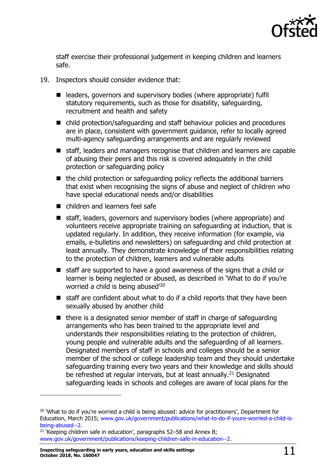

staff exercise their professional judgement in keeping children and learners safe.

- 19. Inspectors should consider evidence that:
	- leaders, governors and supervisory bodies (where appropriate) fulfil statutory requirements, such as those for disability, safeguarding, recruitment and health and safety
	- child protection/safeguarding and staff behaviour policies and procedures are in place, consistent with government guidance, refer to locally agreed multi-agency safeguarding arrangements and are regularly reviewed
	- staff, leaders and managers recognise that children and learners are capable of abusing their peers and this risk is covered adequately in the child protection or safeguarding policy
	- $\blacksquare$  the child protection or safeguarding policy reflects the additional barriers that exist when recognising the signs of abuse and neglect of children who have special educational needs and/or disabilities
	- children and learners feel safe
	- staff, leaders, governors and supervisory bodies (where appropriate) and volunteers receive appropriate training on safeguarding at induction, that is updated regularly. In addition, they receive information (for example, via emails, e-bulletins and newsletters) on safeguarding and child protection at least annually. They demonstrate knowledge of their responsibilities relating to the protection of children, learners and vulnerable adults
	- staff are supported to have a good awareness of the signs that a child or learner is being neglected or abused, as described in 'What to do if you're worried a child is being abused<sup>'20</sup>
	- $\blacksquare$  staff are confident about what to do if a child reports that they have been sexually abused by another child
	- $\blacksquare$  there is a designated senior member of staff in charge of safeguarding arrangements who has been trained to the appropriate level and understands their responsibilities relating to the protection of children, young people and vulnerable adults and the safeguarding of all learners. Designated members of staff in schools and colleges should be a senior member of the school or college leadership team and they should undertake safeguarding training every two years and their knowledge and skills should be refreshed at regular intervals, but at least annually.<sup>21</sup> Designated safeguarding leads in schools and colleges are aware of local plans for the

<sup>&</sup>lt;sup>20</sup> 'What to do if you're worried a child is being abused: advice for practitioners', Department for Education, March 2015; [www.gov.uk/government/publications/what-to-do-if-youre-worried-a-child-is](http://www.gov.uk/government/publications/what-to-do-if-youre-worried-a-child-is-being-abused--2)[being-abused--2.](http://www.gov.uk/government/publications/what-to-do-if-youre-worried-a-child-is-being-abused--2)

 $21$  'Keeping children safe in education', paragraphs 52–58 and Annex B; [www.gov.uk/government/publications/keeping-children-safe-in-education--2.](http://www.gov.uk/government/publications/keeping-children-safe-in-education--2)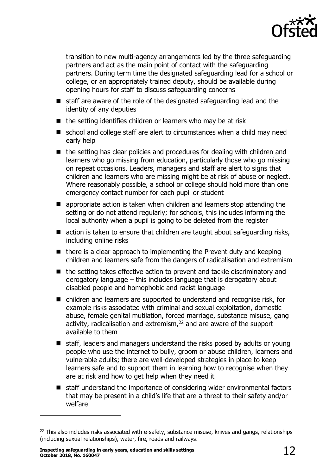

transition to new multi-agency arrangements led by the three safeguarding partners and act as the main point of contact with the safeguarding partners. During term time the designated safeguarding lead for a school or college, or an appropriately trained deputy, should be available during opening hours for staff to discuss safeguarding concerns

- staff are aware of the role of the designated safeguarding lead and the identity of any deputies
- $\blacksquare$  the setting identifies children or learners who may be at risk
- school and college staff are alert to circumstances when a child may need early help
- the setting has clear policies and procedures for dealing with children and learners who go missing from education, particularly those who go missing on repeat occasions. Leaders, managers and staff are alert to signs that children and learners who are missing might be at risk of abuse or neglect. Where reasonably possible, a school or college should hold more than one emergency contact number for each pupil or student
- **E** appropriate action is taken when children and learners stop attending the setting or do not attend regularly; for schools, this includes informing the local authority when a pupil is going to be deleted from the register
- action is taken to ensure that children are taught about safeguarding risks, including online risks
- $\blacksquare$  there is a clear approach to implementing the Prevent duty and keeping children and learners safe from the dangers of radicalisation and extremism
- the setting takes effective action to prevent and tackle discriminatory and derogatory language – this includes language that is derogatory about disabled people and homophobic and racist language
- children and learners are supported to understand and recognise risk, for example risks associated with criminal and sexual exploitation, domestic abuse, female genital mutilation, forced marriage, substance misuse, gang activity, radicalisation and extremism, $22$  and are aware of the support available to them
- $\blacksquare$  staff, leaders and managers understand the risks posed by adults or young people who use the internet to bully, groom or abuse children, learners and vulnerable adults; there are well-developed strategies in place to keep learners safe and to support them in learning how to recognise when they are at risk and how to get help when they need it
- staff understand the importance of considering wider environmental factors that may be present in a child's life that are a threat to their safety and/or welfare

<sup>&</sup>lt;sup>22</sup> This also includes risks associated with e-safety, substance misuse, knives and gangs, relationships (including sexual relationships), water, fire, roads and railways.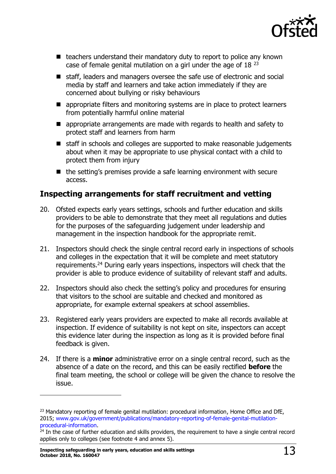

- $\blacksquare$  teachers understand their mandatory duty to report to police any known case of female genital mutilation on a girl under the age of 18 <sup>23</sup>
- staff, leaders and managers oversee the safe use of electronic and social media by staff and learners and take action immediately if they are concerned about bullying or risky behaviours
- **E** appropriate filters and monitoring systems are in place to protect learners from potentially harmful online material
- **E** appropriate arrangements are made with regards to health and safety to protect staff and learners from harm
- staff in schools and colleges are supported to make reasonable judgements about when it may be appropriate to use physical contact with a child to protect them from injury
- $\blacksquare$  the setting's premises provide a safe learning environment with secure access.

#### <span id="page-12-0"></span>**Inspecting arrangements for staff recruitment and vetting**

- 20. Ofsted expects early years settings, schools and further education and skills providers to be able to demonstrate that they meet all regulations and duties for the purposes of the safeguarding judgement under leadership and management in the inspection handbook for the appropriate remit.
- 21. Inspectors should check the single central record early in inspections of schools and colleges in the expectation that it will be complete and meet statutory requirements.<sup>24</sup> During early years inspections, inspectors will check that the provider is able to produce evidence of suitability of relevant staff and adults.
- 22. Inspectors should also check the setting's policy and procedures for ensuring that visitors to the school are suitable and checked and monitored as appropriate, for example external speakers at school assemblies.
- 23. Registered early years providers are expected to make all records available at inspection. If evidence of suitability is not kept on site, inspectors can accept this evidence later during the inspection as long as it is provided before final feedback is given.
- 24. If there is a **minor** administrative error on a single central record, such as the absence of a date on the record, and this can be easily rectified **before** the final team meeting, the school or college will be given the chance to resolve the issue.

<sup>&</sup>lt;sup>23</sup> Mandatory reporting of female genital mutilation: procedural information, Home Office and DfE, 2015; [www.gov.uk/government/publications/mandatory-reporting-of-female-genital-mutilation](http://www.gov.uk/government/publications/mandatory-reporting-of-female-genital-mutilation-procedural-information)[procedural-information.](http://www.gov.uk/government/publications/mandatory-reporting-of-female-genital-mutilation-procedural-information)

 $24$  In the case of further education and skills providers, the requirement to have a single central record applies only to colleges (see footnote 4 and annex 5).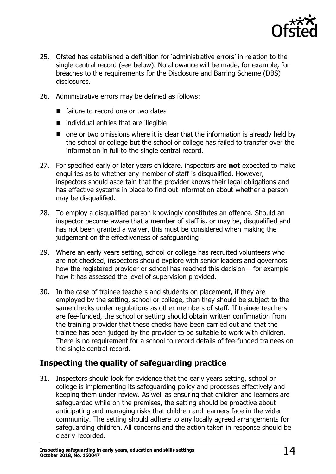

- 25. Ofsted has established a definition for 'administrative errors' in relation to the single central record (see below). No allowance will be made, for example, for breaches to the requirements for the Disclosure and Barring Scheme (DBS) disclosures.
- 26. Administrative errors may be defined as follows:
	- failure to record one or two dates
	- $\blacksquare$  individual entries that are illegible
	- $\blacksquare$  one or two omissions where it is clear that the information is already held by the school or college but the school or college has failed to transfer over the information in full to the single central record.
- 27. For specified early or later years childcare, inspectors are **not** expected to make enquiries as to whether any member of staff is disqualified. However, inspectors should ascertain that the provider knows their legal obligations and has effective systems in place to find out information about whether a person may be disqualified.
- 28. To employ a disqualified person knowingly constitutes an offence. Should an inspector become aware that a member of staff is, or may be, disqualified and has not been granted a waiver, this must be considered when making the judgement on the effectiveness of safeguarding.
- 29. Where an early years setting, school or college has recruited volunteers who are not checked, inspectors should explore with senior leaders and governors how the registered provider or school has reached this decision – for example how it has assessed the level of supervision provided.
- 30. In the case of trainee teachers and students on placement, if they are employed by the setting, school or college, then they should be subject to the same checks under regulations as other members of staff. If trainee teachers are fee-funded, the school or setting should obtain written confirmation from the training provider that these checks have been carried out and that the trainee has been judged by the provider to be suitable to work with children. There is no requirement for a school to record details of fee-funded trainees on the single central record.

### <span id="page-13-0"></span>**Inspecting the quality of safeguarding practice**

31. Inspectors should look for evidence that the early years setting, school or college is implementing its safeguarding policy and processes effectively and keeping them under review. As well as ensuring that children and learners are safeguarded while on the premises, the setting should be proactive about anticipating and managing risks that children and learners face in the wider community. The setting should adhere to any locally agreed arrangements for safeguarding children. All concerns and the action taken in response should be clearly recorded.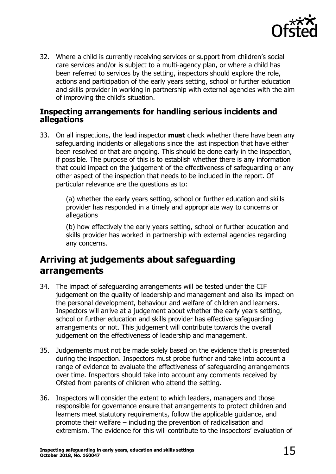

32. Where a child is currently receiving services or support from children's social care services and/or is subject to a multi-agency plan, or where a child has been referred to services by the setting, inspectors should explore the role, actions and participation of the early years setting, school or further education and skills provider in working in partnership with external agencies with the aim of improving the child's situation.

#### <span id="page-14-0"></span>**Inspecting arrangements for handling serious incidents and allegations**

33. On all inspections, the lead inspector **must** check whether there have been any safeguarding incidents or allegations since the last inspection that have either been resolved or that are ongoing. This should be done early in the inspection, if possible. The purpose of this is to establish whether there is any information that could impact on the judgement of the effectiveness of safeguarding or any other aspect of the inspection that needs to be included in the report. Of particular relevance are the questions as to:

> (a) whether the early years setting, school or further education and skills provider has responded in a timely and appropriate way to concerns or allegations

(b) how effectively the early years setting, school or further education and skills provider has worked in partnership with external agencies regarding any concerns.

### <span id="page-14-1"></span>**Arriving at judgements about safeguarding arrangements**

- 34. The impact of safeguarding arrangements will be tested under the CIF judgement on the quality of leadership and management and also its impact on the personal development, behaviour and welfare of children and learners. Inspectors will arrive at a judgement about whether the early years setting, school or further education and skills provider has effective safeguarding arrangements or not. This judgement will contribute towards the overall judgement on the effectiveness of leadership and management.
- 35. Judgements must not be made solely based on the evidence that is presented during the inspection. Inspectors must probe further and take into account a range of evidence to evaluate the effectiveness of safeguarding arrangements over time. Inspectors should take into account any comments received by Ofsted from parents of children who attend the setting.
- 36. Inspectors will consider the extent to which leaders, managers and those responsible for governance ensure that arrangements to protect children and learners meet statutory requirements, follow the applicable guidance, and promote their welfare – including the prevention of radicalisation and extremism. The evidence for this will contribute to the inspectors' evaluation of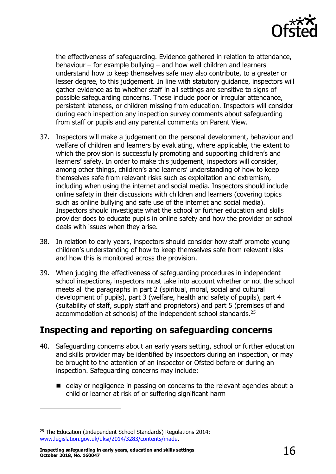

the effectiveness of safeguarding. Evidence gathered in relation to attendance, behaviour – for example bullying – and how well children and learners understand how to keep themselves safe may also contribute, to a greater or lesser degree, to this judgement. In line with statutory guidance, inspectors will gather evidence as to whether staff in all settings are sensitive to signs of possible safeguarding concerns. These include poor or irregular attendance, persistent lateness, or children missing from education. Inspectors will consider during each inspection any inspection survey comments about safeguarding from staff or pupils and any parental comments on Parent View.

- 37. Inspectors will make a judgement on the personal development, behaviour and welfare of children and learners by evaluating, where applicable, the extent to which the provision is successfully promoting and supporting children's and learners' safety. In order to make this judgement, inspectors will consider, among other things, children's and learners' understanding of how to keep themselves safe from relevant risks such as exploitation and extremism, including when using the internet and social media. Inspectors should include online safety in their discussions with children and learners (covering topics such as online bullying and safe use of the internet and social media). Inspectors should investigate what the school or further education and skills provider does to educate pupils in online safety and how the provider or school deals with issues when they arise.
- 38. In relation to early years, inspectors should consider how staff promote young children's understanding of how to keep themselves safe from relevant risks and how this is monitored across the provision.
- 39. When judging the effectiveness of safeguarding procedures in independent school inspections, inspectors must take into account whether or not the school meets all the paragraphs in part 2 (spiritual, moral, social and cultural development of pupils), part 3 (welfare, health and safety of pupils), part 4 (suitability of staff, supply staff and proprietors) and part 5 (premises of and accommodation at schools) of the independent school standards.<sup>25</sup>

### <span id="page-15-0"></span>**Inspecting and reporting on safeguarding concerns**

- 40. Safeguarding concerns about an early years setting, school or further education and skills provider may be identified by inspectors during an inspection, or may be brought to the attention of an inspector or Ofsted before or during an inspection. Safeguarding concerns may include:
	- delay or negligence in passing on concerns to the relevant agencies about a child or learner at risk of or suffering significant harm

<sup>&</sup>lt;sup>25</sup> The Education (Independent School Standards) Regulations 2014; [www.legislation.gov.uk/uksi/2014/3283/contents/made.](http://www.legislation.gov.uk/uksi/2014/3283/contents/made)

**Inspecting safeguarding in early years, education and skills settings October 2018, No. 160047** 16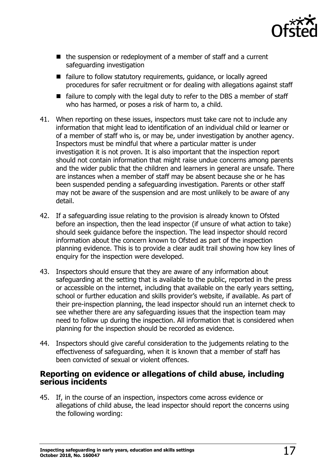

- $\blacksquare$  the suspension or redeployment of a member of staff and a current safeguarding investigation
- failure to follow statutory requirements, quidance, or locally agreed procedures for safer recruitment or for dealing with allegations against staff
- $\blacksquare$  failure to comply with the legal duty to refer to the DBS a member of staff who has harmed, or poses a risk of harm to, a child.
- 41. When reporting on these issues, inspectors must take care not to include any information that might lead to identification of an individual child or learner or of a member of staff who is, or may be, under investigation by another agency. Inspectors must be mindful that where a particular matter is under investigation it is not proven. It is also important that the inspection report should not contain information that might raise undue concerns among parents and the wider public that the children and learners in general are unsafe. There are instances when a member of staff may be absent because she or he has been suspended pending a safeguarding investigation. Parents or other staff may not be aware of the suspension and are most unlikely to be aware of any detail.
- 42. If a safeguarding issue relating to the provision is already known to Ofsted before an inspection, then the lead inspector (if unsure of what action to take) should seek guidance before the inspection. The lead inspector should record information about the concern known to Ofsted as part of the inspection planning evidence. This is to provide a clear audit trail showing how key lines of enquiry for the inspection were developed.
- 43. Inspectors should ensure that they are aware of any information about safeguarding at the setting that is available to the public, reported in the press or accessible on the internet, including that available on the early years setting, school or further education and skills provider's website, if available. As part of their pre-inspection planning, the lead inspector should run an internet check to see whether there are any safeguarding issues that the inspection team may need to follow up during the inspection. All information that is considered when planning for the inspection should be recorded as evidence.
- 44. Inspectors should give careful consideration to the judgements relating to the effectiveness of safeguarding, when it is known that a member of staff has been convicted of sexual or violent offences.

#### <span id="page-16-0"></span>**Reporting on evidence or allegations of child abuse, including serious incidents**

45. If, in the course of an inspection, inspectors come across evidence or allegations of child abuse, the lead inspector should report the concerns using the following wording: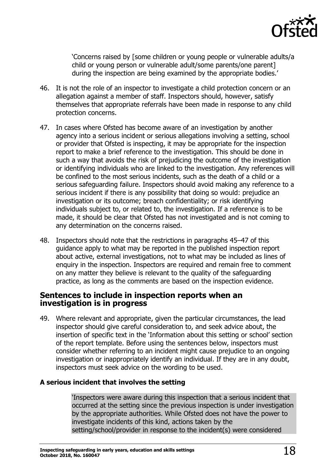

'Concerns raised by [some children or young people or vulnerable adults/a child or young person or vulnerable adult/some parents/one parent] during the inspection are being examined by the appropriate bodies.'

- 46. It is not the role of an inspector to investigate a child protection concern or an allegation against a member of staff. Inspectors should, however, satisfy themselves that appropriate referrals have been made in response to any child protection concerns.
- 47. In cases where Ofsted has become aware of an investigation by another agency into a serious incident or serious allegations involving a setting, school or provider that Ofsted is inspecting, it may be appropriate for the inspection report to make a brief reference to the investigation. This should be done in such a way that avoids the risk of prejudicing the outcome of the investigation or identifying individuals who are linked to the investigation. Any references will be confined to the most serious incidents, such as the death of a child or a serious safeguarding failure. Inspectors should avoid making any reference to a serious incident if there is any possibility that doing so would: prejudice an investigation or its outcome; breach confidentiality; or risk identifying individuals subject to, or related to, the investigation. If a reference is to be made, it should be clear that Ofsted has not investigated and is not coming to any determination on the concerns raised.
- 48. Inspectors should note that the restrictions in paragraphs 45–47 of this guidance apply to what may be reported in the published inspection report about active, external investigations, not to what may be included as lines of enquiry in the inspection. Inspectors are required and remain free to comment on any matter they believe is relevant to the quality of the safeguarding practice, as long as the comments are based on the inspection evidence.

#### <span id="page-17-0"></span>**Sentences to include in inspection reports when an investigation is in progress**

49. Where relevant and appropriate, given the particular circumstances, the lead inspector should give careful consideration to, and seek advice about, the insertion of specific text in the 'Information about this setting or school' section of the report template. Before using the sentences below, inspectors must consider whether referring to an incident might cause prejudice to an ongoing investigation or inappropriately identify an individual. If they are in any doubt, inspectors must seek advice on the wording to be used.

#### **A serious incident that involves the setting**

'Inspectors were aware during this inspection that a serious incident that occurred at the setting since the previous inspection is under investigation by the appropriate authorities. While Ofsted does not have the power to investigate incidents of this kind, actions taken by the setting/school/provider in response to the incident(s) were considered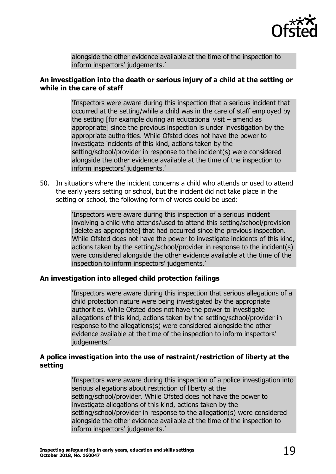

alongside the other evidence available at the time of the inspection to inform inspectors' judgements.'

#### **An investigation into the death or serious injury of a child at the setting or while in the care of staff**

'Inspectors were aware during this inspection that a serious incident that occurred at the setting/while a child was in the care of staff employed by the setting [for example during an educational visit – amend as appropriate] since the previous inspection is under investigation by the appropriate authorities. While Ofsted does not have the power to investigate incidents of this kind, actions taken by the setting/school/provider in response to the incident(s) were considered alongside the other evidence available at the time of the inspection to inform inspectors' judgements.'

50. In situations where the incident concerns a child who attends or used to attend the early years setting or school, but the incident did not take place in the setting or school, the following form of words could be used:

> 'Inspectors were aware during this inspection of a serious incident involving a child who attends/used to attend this setting/school/provision [delete as appropriate] that had occurred since the previous inspection. While Ofsted does not have the power to investigate incidents of this kind, actions taken by the setting/school/provider in response to the incident(s) were considered alongside the other evidence available at the time of the inspection to inform inspectors' judgements.'

#### **An investigation into alleged child protection failings**

'Inspectors were aware during this inspection that serious allegations of a child protection nature were being investigated by the appropriate authorities. While Ofsted does not have the power to investigate allegations of this kind, actions taken by the setting/school/provider in response to the allegations(s) were considered alongside the other evidence available at the time of the inspection to inform inspectors' iudgements.'

#### **A police investigation into the use of restraint/restriction of liberty at the setting**

'Inspectors were aware during this inspection of a police investigation into serious allegations about restriction of liberty at the setting/school/provider. While Ofsted does not have the power to investigate allegations of this kind, actions taken by the setting/school/provider in response to the allegation(s) were considered alongside the other evidence available at the time of the inspection to inform inspectors' judgements.'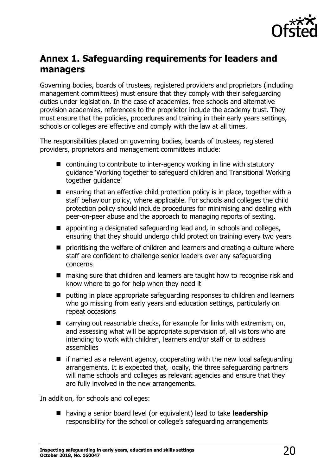

# <span id="page-19-0"></span>**Annex 1. Safeguarding requirements for leaders and managers**

Governing bodies, boards of trustees, registered providers and proprietors (including management committees) must ensure that they comply with their safeguarding duties under legislation. In the case of academies, free schools and alternative provision academies, references to the proprietor include the academy trust. They must ensure that the policies, procedures and training in their early years settings, schools or colleges are effective and comply with the law at all times.

The responsibilities placed on governing bodies, boards of trustees, registered providers, proprietors and management committees include:

- continuing to contribute to inter-agency working in line with statutory guidance 'Working together to safeguard children and Transitional Working together guidance'
- **E** ensuring that an effective child protection policy is in place, together with a staff behaviour policy, where applicable. For schools and colleges the child protection policy should include procedures for minimising and dealing with peer-on-peer abuse and the approach to managing reports of sexting.
- appointing a designated safeguarding lead and, in schools and colleges, ensuring that they should undergo child protection training every two years
- **P** prioritising the welfare of children and learners and creating a culture where staff are confident to challenge senior leaders over any safeguarding concerns
- making sure that children and learners are taught how to recognise risk and know where to go for help when they need it
- putting in place appropriate safeguarding responses to children and learners who go missing from early years and education settings, particularly on repeat occasions
- carrying out reasonable checks, for example for links with extremism, on, and assessing what will be appropriate supervision of, all visitors who are intending to work with children, learners and/or staff or to address assemblies
- $\blacksquare$  if named as a relevant agency, cooperating with the new local safeguarding arrangements. It is expected that, locally, the three safeguarding partners will name schools and colleges as relevant agencies and ensure that they are fully involved in the new arrangements.

In addition, for schools and colleges:

■ having a senior board level (or equivalent) lead to take **leadership** responsibility for the school or college's safeguarding arrangements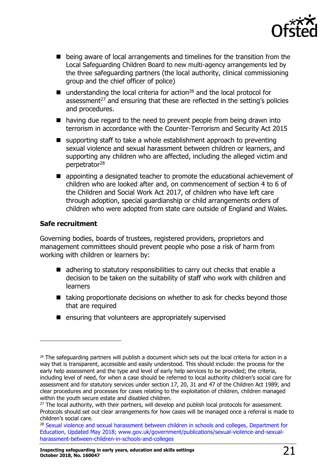

- being aware of local arrangements and timelines for the transition from the Local Safeguarding Children Board to new multi-agency arrangements led by the three safeguarding partners (the local authority, clinical commissioning group and the chief officer of police)
- understanding the local criteria for action<sup>26</sup> and the local protocol for assessment $27$  and ensuring that these are reflected in the setting's policies and procedures.
- having due regard to the need to prevent people from being drawn into terrorism in accordance with the Counter-Terrorism and Security Act 2015
- $\blacksquare$  supporting staff to take a whole establishment approach to preventing sexual violence and sexual harassment between children or learners, and supporting any children who are affected, including the alleged victim and perpetrator<sup>28</sup>
- **E** appointing a designated teacher to promote the educational achievement of children who are looked after and, on commencement of section 4 to 6 of the Children and Social Work Act 2017, of children who have left care through adoption, special guardianship or child arrangements orders of children who were adopted from state care outside of England and Wales.

#### **Safe recruitment**

 $\overline{a}$ 

Governing bodies, boards of trustees, registered providers, proprietors and management committees should prevent people who pose a risk of harm from working with children or learners by:

- adhering to statutory responsibilities to carry out checks that enable a decision to be taken on the suitability of staff who work with children and learners
- $\blacksquare$  taking proportionate decisions on whether to ask for checks beyond those that are required
- $\blacksquare$  ensuring that volunteers are appropriately supervised

 $26$  The safeguarding partners will publish a document which sets out the local criteria for action in a way that is transparent, accessible and easily understood. This should include: the process for the early help assessment and the type and level of early help services to be provided; the criteria, including level of need, for when a case should be referred to local authority children's social care for assessment and for statutory services under section 17, 20, 31 and 47 of the Children Act 1989; and clear procedures and processes for cases relating to the exploitation of children, children managed within the youth secure estate and disabled children.

<sup>&</sup>lt;sup>27</sup> The local authority, with their partners, will develop and publish local protocols for assessment. Protocols should set out clear arrangements for how cases will be managed once a referral is made to children's social care.

<sup>&</sup>lt;sup>28</sup> [Sexual violence and sexual harassment between children in schools and colleges,](https://www.gov.uk/government/publications/sexual-violence-and-sexual-harassment-between-children-in-schools-and-colleges) Department for Education, Updated May 2018; [www.gov.uk/government/publications/sexual-violence-and-sexual](https://www.gov.uk/government/publications/sexual-violence-and-sexual-harassment-between-children-in-schools-and-colleges)[harassment-between-children-in-schools-and-colleges](https://www.gov.uk/government/publications/sexual-violence-and-sexual-harassment-between-children-in-schools-and-colleges)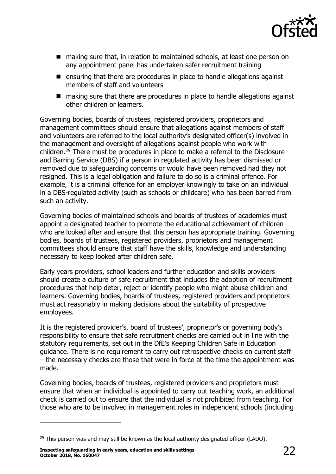

- making sure that, in relation to maintained schools, at least one person on any appointment panel has undertaken safer recruitment training
- $\blacksquare$  ensuring that there are procedures in place to handle allegations against members of staff and volunteers
- making sure that there are procedures in place to handle allegations against other children or learners.

Governing bodies, boards of trustees, registered providers, proprietors and management committees should ensure that allegations against members of staff and volunteers are referred to the local authority's designated officer(s) involved in the management and oversight of allegations against people who work with children.<sup>29</sup> There must be procedures in place to make a referral to the Disclosure and Barring Service (DBS) if a person in regulated activity has been dismissed or removed due to safeguarding concerns or would have been removed had they not resigned. This is a legal obligation and failure to do so is a criminal offence. For example, it is a criminal offence for an employer knowingly to take on an individual in a DBS-regulated activity (such as schools or childcare) who has been barred from such an activity.

Governing bodies of maintained schools and boards of trustees of academies must appoint a designated teacher to promote the educational achievement of children who are looked after and ensure that this person has appropriate training. Governing bodies, boards of trustees, registered providers, proprietors and management committees should ensure that staff have the skills, knowledge and understanding necessary to keep looked after children safe.

Early years providers, school leaders and further education and skills providers should create a culture of safe recruitment that includes the adoption of recruitment procedures that help deter, reject or identify people who might abuse children and learners. Governing bodies, boards of trustees, registered providers and proprietors must act reasonably in making decisions about the suitability of prospective employees.

It is the registered provider's, board of trustees', proprietor's or governing body's responsibility to ensure that safe recruitment checks are carried out in line with the statutory requirements, set out in the DfE's Keeping Children Safe in Education guidance. There is no requirement to carry out retrospective checks on current staff – the necessary checks are those that were in force at the time the appointment was made.

Governing bodies, boards of trustees, registered providers and proprietors must ensure that when an individual is appointed to carry out teaching work, an additional check is carried out to ensure that the individual is not prohibited from teaching. For those who are to be involved in management roles in independent schools (including

**Inspecting safeguarding in early years, education and skills settings October 2018, No. 160047** 22

 $^{29}$  This person was and may still be known as the local authority designated officer (LADO).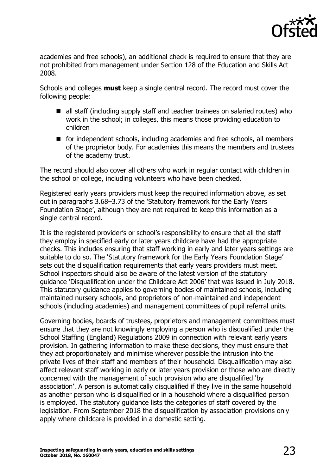

academies and free schools), an additional check is required to ensure that they are not prohibited from management under Section 128 of the Education and Skills Act 2008.

Schools and colleges **must** keep a single central record. The record must cover the following people:

- all staff (including supply staff and teacher trainees on salaried routes) who work in the school; in colleges, this means those providing education to children
- for independent schools, including academies and free schools, all members of the proprietor body. For academies this means the members and trustees of the academy trust.

The record should also cover all others who work in regular contact with children in the school or college, including volunteers who have been checked.

Registered early years providers must keep the required information above, as set out in paragraphs 3.68–3.73 of the 'Statutory framework for the Early Years Foundation Stage', although they are not required to keep this information as a single central record.

It is the registered provider's or school's responsibility to ensure that all the staff they employ in specified early or later years childcare have had the appropriate checks. This includes ensuring that staff working in early and later years settings are suitable to do so. The 'Statutory framework for the Early Years Foundation Stage' sets out the disqualification requirements that early years providers must meet. School inspectors should also be aware of the latest version of the statutory guidance 'Disqualification under the Childcare Act 2006' that was issued in July 2018. This statutory guidance applies to governing bodies of maintained schools, including maintained nursery schools, and proprietors of non-maintained and independent schools (including academies) and management committees of pupil referral units.

Governing bodies, boards of trustees, proprietors and management committees must ensure that they are not knowingly employing a person who is disqualified under the School Staffing (England) Regulations 2009 in connection with relevant early years provision. In gathering information to make these decisions, they must ensure that they act proportionately and minimise wherever possible the intrusion into the private lives of their staff and members of their household. Disqualification may also affect relevant staff working in early or later years provision or those who are directly concerned with the management of such provision who are disqualified 'by association'. A person is automatically disqualified if they live in the same household as another person who is disqualified or in a household where a disqualified person is employed. The statutory guidance lists the categories of staff covered by the legislation. From September 2018 the disqualification by association provisions only apply where childcare is provided in a domestic setting.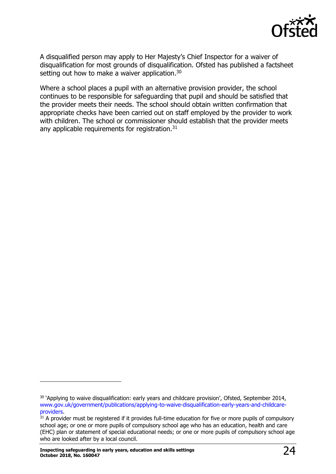

A disqualified person may apply to Her Majesty's Chief Inspector for a waiver of disqualification for most grounds of disqualification. Ofsted has published a factsheet setting out how to make a waiver application.<sup>30</sup>

Where a school places a pupil with an alternative provision provider, the school continues to be responsible for safeguarding that pupil and should be satisfied that the provider meets their needs. The school should obtain written confirmation that appropriate checks have been carried out on staff employed by the provider to work with children. The school or commissioner should establish that the provider meets any applicable requirements for registration.<sup>31</sup>

<sup>&</sup>lt;sup>30</sup> 'Applying to waive disqualification: early years and childcare provision', Ofsted, September 2014, [www.gov.uk/government/publications/applying-to-waive-disqualification-early-years-and-childcare](http://www.gov.uk/government/publications/applying-to-waive-disqualification-early-years-and-childcare-providers)[providers.](http://www.gov.uk/government/publications/applying-to-waive-disqualification-early-years-and-childcare-providers)

 $31$  A provider must be registered if it provides full-time education for five or more pupils of compulsory school age; or one or more pupils of compulsory school age who has an education, health and care (EHC) plan or statement of special educational needs; or one or more pupils of compulsory school age who are looked after by a local council.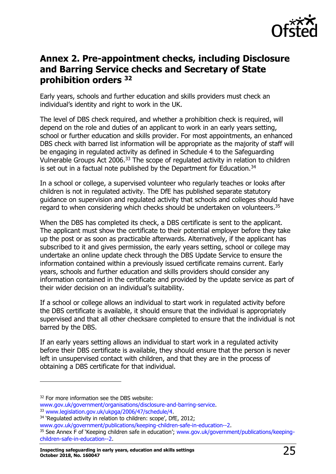

## <span id="page-24-0"></span>**Annex 2. Pre-appointment checks, including Disclosure and Barring Service checks and Secretary of State prohibition orders <sup>32</sup>**

Early years, schools and further education and skills providers must check an individual's identity and right to work in the UK.

The level of DBS check required, and whether a prohibition check is required, will depend on the role and duties of an applicant to work in an early years setting, school or further education and skills provider. For most appointments, an enhanced DBS check with barred list information will be appropriate as the majority of staff will be engaging in regulated activity as defined in Schedule 4 to the Safeguarding Vulnerable Groups Act 2006.<sup>33</sup> The scope of regulated activity in relation to children is set out in a factual note published by the Department for Education.<sup>34</sup>

In a school or college, a supervised volunteer who regularly teaches or looks after children is not in regulated activity. The DfE has published separate statutory guidance on supervision and regulated activity that schools and colleges should have regard to when considering which checks should be undertaken on volunteers.<sup>35</sup>

When the DBS has completed its check, a DBS certificate is sent to the applicant. The applicant must show the certificate to their potential employer before they take up the post or as soon as practicable afterwards. Alternatively, if the applicant has subscribed to it and gives permission, the early years setting, school or college may undertake an online update check through the DBS Update Service to ensure the information contained within a previously issued certificate remains current. Early years, schools and further education and skills providers should consider any information contained in the certificate and provided by the update service as part of their wider decision on an individual's suitability.

If a school or college allows an individual to start work in regulated activity before the DBS certificate is available, it should ensure that the individual is appropriately supervised and that all other checksare completed to ensure that the individual is not barred by the DBS.

If an early years setting allows an individual to start work in a regulated activity before their DBS certificate is available, they should ensure that the person is never left in unsupervised contact with children, and that they are in the process of obtaining a DBS certificate for that individual.

<sup>&</sup>lt;sup>32</sup> For more information see the DBS website:

[www.gov.uk/government/organisations/disclosure-and-barring-service.](http://www.gov.uk/government/organisations/disclosure-and-barring-service) <sup>33</sup> [www.legislation.gov.uk/ukpga/2006/47/schedule/4.](http://www.legislation.gov.uk/ukpga/2006/47/schedule/4)

<sup>&</sup>lt;sup>34</sup> 'Regulated activity in relation to children: scope', DfE, 2012;

[www.gov.uk/government/publications/keeping-children-safe-in-education--2.](http://www.gov.uk/government/publications/keeping-children-safe-in-education--2)

<sup>35</sup> See Annex F of 'Keeping children safe in education'; [www.gov.uk/government/publications/keeping](http://www.gov.uk/government/publications/keeping-children-safe-in-education--2)[children-safe-in-education--2.](http://www.gov.uk/government/publications/keeping-children-safe-in-education--2)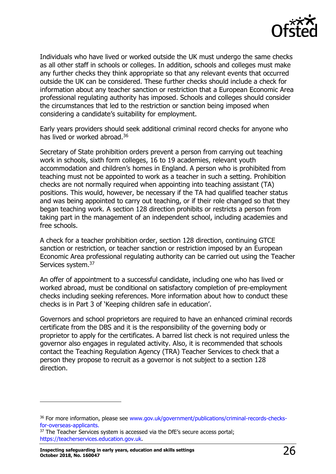

Individuals who have lived or worked outside the UK must undergo the same checks as all other staff in schools or colleges. In addition, schools and colleges must make any further checks they think appropriate so that any relevant events that occurred outside the UK can be considered. These further checks should include a check for information about any teacher sanction or restriction that a European Economic Area professional regulating authority has imposed. Schools and colleges should consider the circumstances that led to the restriction or sanction being imposed when considering a candidate's suitability for employment.

Early years providers should seek additional criminal record checks for anyone who has lived or worked abroad.<sup>36</sup>

Secretary of State prohibition orders prevent a person from carrying out teaching work in schools, sixth form colleges, 16 to 19 academies, relevant youth accommodation and children's homes in England. A person who is prohibited from teaching must not be appointed to work as a teacher in such a setting. Prohibition checks are not normally required when appointing into teaching assistant (TA) positions. This would, however, be necessary if the TA had qualified teacher status and was being appointed to carry out teaching, or if their role changed so that they began teaching work. A section 128 direction prohibits or restricts a person from taking part in the management of an independent school, including academies and free schools.

A check for a teacher prohibition order, section 128 direction, continuing GTCE sanction or restriction, or teacher sanction or restriction imposed by an European Economic Area professional regulating authority can be carried out using the Teacher Services system.<sup>37</sup>

An offer of appointment to a successful candidate, including one who has lived or worked abroad, must be conditional on satisfactory completion of pre-employment checks including seeking references. More information about how to conduct these checks is in Part 3 of 'Keeping children safe in education'.

Governors and school proprietors are required to have an enhanced criminal records certificate from the DBS and it is the responsibility of the governing body or proprietor to apply for the certificates. A barred list check is not required unless the governor also engages in regulated activity. Also, it is recommended that schools contact the Teaching Regulation Agency (TRA) Teacher Services to check that a person they propose to recruit as a governor is not subject to a section 128 direction.

<sup>&</sup>lt;sup>36</sup> For more information, please see [www.gov.uk/government/publications/criminal-records-checks](https://www.gov.uk/government/publications/criminal-records-checks-for-overseas-applicants)[for-overseas-applicants.](https://www.gov.uk/government/publications/criminal-records-checks-for-overseas-applicants) 

<sup>&</sup>lt;sup>37</sup> The Teacher Services system is accessed via the DfE's secure access portal; [https://teacherservices.education.gov.uk.](https://teacherservices.education.gov.uk/)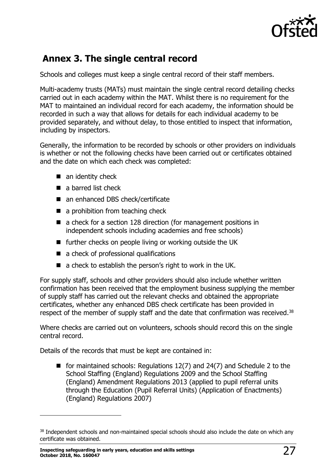

# <span id="page-26-0"></span>**Annex 3. The single central record**

Schools and colleges must keep a single central record of their staff members.

Multi-academy trusts (MATs) must maintain the single central record detailing checks carried out in each academy within the MAT. Whilst there is no requirement for the MAT to maintained an individual record for each academy, the information should be recorded in such a way that allows for details for each individual academy to be provided separately, and without delay, to those entitled to inspect that information, including by inspectors.

Generally, the information to be recorded by schools or other providers on individuals is whether or not the following checks have been carried out or certificates obtained and the date on which each check was completed:

- $\blacksquare$  an identity check
- a barred list check
- an enhanced DBS check/certificate
- a prohibition from teaching check
- a check for a section 128 direction (for management positions in independent schools including academies and free schools)
- further checks on people living or working outside the UK
- a check of professional qualifications
- $\blacksquare$  a check to establish the person's right to work in the UK.

For supply staff, schools and other providers should also include whether written confirmation has been received that the employment business supplying the member of supply staff has carried out the relevant checks and obtained the appropriate certificates, whether any enhanced DBS check certificate has been provided in respect of the member of supply staff and the date that confirmation was received.<sup>38</sup>

Where checks are carried out on volunteers, schools should record this on the single central record.

Details of the records that must be kept are contained in:

for maintained schools: Regulations  $12(7)$  and  $24(7)$  and Schedule 2 to the School Staffing (England) Regulations 2009 and the School Staffing (England) Amendment Regulations 2013 (applied to pupil referral units through the Education (Pupil Referral Units) (Application of Enactments) (England) Regulations 2007)

<sup>38</sup> Independent schools and non-maintained special schools should also include the date on which any certificate was obtained.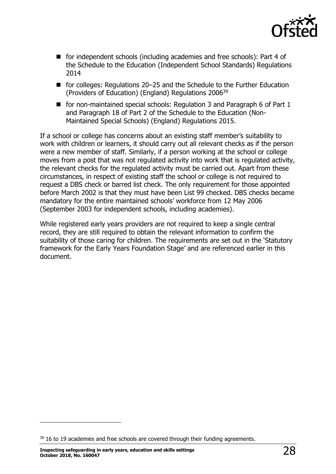

- for independent schools (including academies and free schools): Part 4 of the Schedule to the Education (Independent School Standards) Regulations 2014
- for colleges: Regulations 20–25 and the Schedule to the Further Education (Providers of Education) (England) Regulations 2006<sup>39</sup>
- for non-maintained special schools: Regulation 3 and Paragraph 6 of Part 1 and Paragraph 18 of Part 2 of the Schedule to the Education (Non-Maintained Special Schools) (England) Regulations 2015.

If a school or college has concerns about an existing staff member's suitability to work with children or learners, it should carry out all relevant checks as if the person were a new member of staff. Similarly, if a person working at the school or college moves from a post that was not regulated activity into work that is regulated activity, the relevant checks for the regulated activity must be carried out. Apart from these circumstances, in respect of existing staff the school or college is not required to request a DBS check or barred list check. The only requirement for those appointed before March 2002 is that they must have been List 99 checked. DBS checks became mandatory for the entire maintained schools' workforce from 12 May 2006 (September 2003 for independent schools, including academies).

While registered early years providers are not required to keep a single central record, they are still required to obtain the relevant information to confirm the suitability of those caring for children. The requirements are set out in the 'Statutory framework for the Early Years Foundation Stage' and are referenced earlier in this document.

<sup>&</sup>lt;sup>39</sup> 16 to 19 academies and free schools are covered through their funding agreements.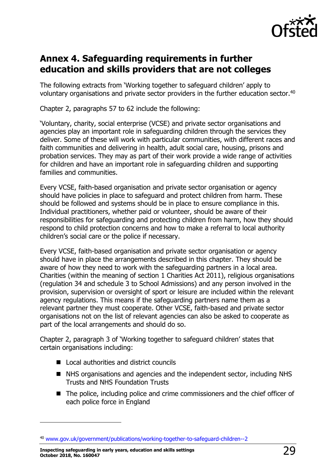

## <span id="page-28-0"></span>**Annex 4. Safeguarding requirements in further education and skills providers that are not colleges**

The following extracts from 'Working together to safeguard children' apply to voluntary organisations and private sector providers in the further education sector.<sup>40</sup>

Chapter 2, paragraphs 57 to 62 include the following:

'Voluntary, charity, social enterprise (VCSE) and private sector organisations and agencies play an important role in safeguarding children through the services they deliver. Some of these will work with particular communities, with different races and faith communities and delivering in health, adult social care, housing, prisons and probation services. They may as part of their work provide a wide range of activities for children and have an important role in safeguarding children and supporting families and communities.

Every VCSE, faith-based organisation and private sector organisation or agency should have policies in place to safeguard and protect children from harm. These should be followed and systems should be in place to ensure compliance in this. Individual practitioners, whether paid or volunteer, should be aware of their responsibilities for safeguarding and protecting children from harm, how they should respond to child protection concerns and how to make a referral to local authority children's social care or the police if necessary.

Every VCSE, faith-based organisation and private sector organisation or agency should have in place the arrangements described in this chapter. They should be aware of how they need to work with the safeguarding partners in a local area. Charities (within the meaning of section 1 Charities Act 2011), religious organisations (regulation 34 and schedule 3 to School Admissions) and any person involved in the provision, supervision or oversight of sport or leisure are included within the relevant agency regulations. This means if the safeguarding partners name them as a relevant partner they must cooperate. Other VCSE, faith-based and private sector organisations not on the list of relevant agencies can also be asked to cooperate as part of the local arrangements and should do so.

Chapter 2, paragraph 3 of 'Working together to safeguard children' states that certain organisations including:

- Local authorities and district councils
- NHS organisations and agencies and the independent sector, including NHS Trusts and NHS Foundation Trusts
- The police, including police and crime commissioners and the chief officer of each police force in England

**Inspecting safeguarding in early years, education and skills settings October 2018, No. 160047** 29

<sup>40</sup> [www.gov.uk/government/publications/working-together-to-safeguard-children--2](http://www.gov.uk/government/publications/working-together-to-safeguard-children--2)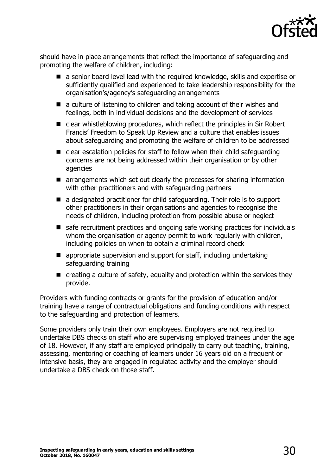

should have in place arrangements that reflect the importance of safeguarding and promoting the welfare of children, including:

- a senior board level lead with the required knowledge, skills and expertise or sufficiently qualified and experienced to take leadership responsibility for the organisation's/agency's safeguarding arrangements
- a culture of listening to children and taking account of their wishes and feelings, both in individual decisions and the development of services
- clear whistleblowing procedures, which reflect the principles in Sir Robert Francis' Freedom to Speak Up Review and a culture that enables issues about safeguarding and promoting the welfare of children to be addressed
- clear escalation policies for staff to follow when their child safeguarding concerns are not being addressed within their organisation or by other agencies
- arrangements which set out clearly the processes for sharing information with other practitioners and with safeguarding partners
- a designated practitioner for child safeguarding. Their role is to support other practitioners in their organisations and agencies to recognise the needs of children, including protection from possible abuse or neglect
- safe recruitment practices and ongoing safe working practices for individuals whom the organisation or agency permit to work regularly with children, including policies on when to obtain a criminal record check
- **E** appropriate supervision and support for staff, including undertaking safeguarding training
- $\blacksquare$  creating a culture of safety, equality and protection within the services they provide.

Providers with funding contracts or grants for the provision of education and/or training have a range of contractual obligations and funding conditions with respect to the safeguarding and protection of learners.

Some providers only train their own employees. Employers are not required to undertake DBS checks on staff who are supervising employed trainees under the age of 18. However, if any staff are employed principally to carry out teaching, training, assessing, mentoring or coaching of learners under 16 years old on a frequent or intensive basis, they are engaged in regulated activity and the employer should undertake a DBS check on those staff.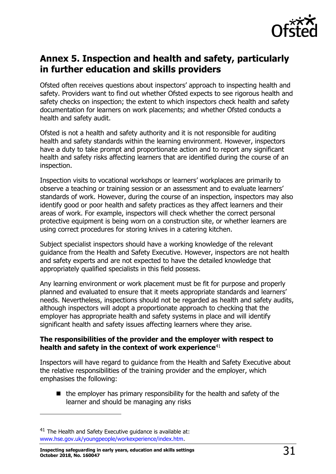

# <span id="page-30-0"></span>**Annex 5. Inspection and health and safety, particularly in further education and skills providers**

Ofsted often receives questions about inspectors' approach to inspecting health and safety. Providers want to find out whether Ofsted expects to see rigorous health and safety checks on inspection; the extent to which inspectors check health and safety documentation for learners on work placements; and whether Ofsted conducts a health and safety audit.

Ofsted is not a health and safety authority and it is not responsible for auditing health and safety standards within the learning environment. However, inspectors have a duty to take prompt and proportionate action and to report any significant health and safety risks affecting learners that are identified during the course of an inspection.

Inspection visits to vocational workshops or learners' workplaces are primarily to observe a teaching or training session or an assessment and to evaluate learners' standards of work. However, during the course of an inspection, inspectors may also identify good or poor health and safety practices as they affect learners and their areas of work. For example, inspectors will check whether the correct personal protective equipment is being worn on a construction site, or whether learners are using correct procedures for storing knives in a catering kitchen.

Subject specialist inspectors should have a working knowledge of the relevant guidance from the Health and Safety Executive. However, inspectors are not health and safety experts and are not expected to have the detailed knowledge that appropriately qualified specialists in this field possess.

Any learning environment or work placement must be fit for purpose and properly planned and evaluated to ensure that it meets appropriate standards and learners' needs. Nevertheless, inspections should not be regarded as health and safety audits, although inspectors will adopt a proportionate approach to checking that the employer has appropriate health and safety systems in place and will identify significant health and safety issues affecting learners where they arise.

#### **The responsibilities of the provider and the employer with respect to**  health and safety in the context of work experience<sup>41</sup>

Inspectors will have regard to guidance from the Health and Safety Executive about the relative responsibilities of the training provider and the employer, which emphasises the following:

 $\blacksquare$  the employer has primary responsibility for the health and safety of the learner and should be managing any risks

 $41$  The Health and Safety Executive quidance is available at: [www.hse.gov.uk/youngpeople/workexperience/index.htm.](http://www.hse.gov.uk/youngpeople/workexperience/index.htm)

Inspecting safeguarding in early years, education and skills settings  $31\overline{31}$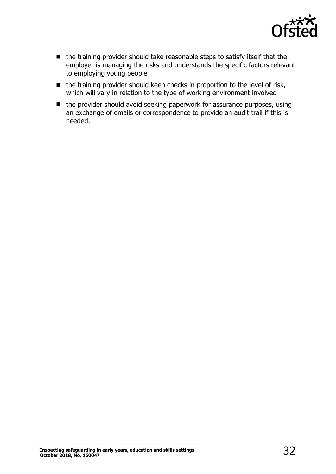

- the training provider should take reasonable steps to satisfy itself that the employer is managing the risks and understands the specific factors relevant to employing young people
- $\blacksquare$  the training provider should keep checks in proportion to the level of risk, which will vary in relation to the type of working environment involved
- the provider should avoid seeking paperwork for assurance purposes, using an exchange of emails or correspondence to provide an audit trail if this is needed.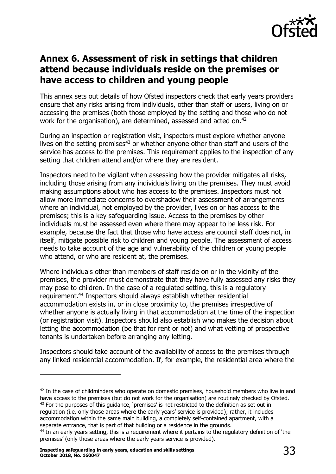

# <span id="page-32-0"></span>**Annex 6. Assessment of risk in settings that children attend because individuals reside on the premises or have access to children and young people**

This annex sets out details of how Ofsted inspectors check that early years providers ensure that any risks arising from individuals, other than staff or users, living on or accessing the premises (both those employed by the setting and those who do not work for the organisation), are determined, assessed and acted on.<sup>42</sup>

During an inspection or registration visit, inspectors must explore whether anyone lives on the setting premises $43$  or whether anyone other than staff and users of the service has access to the premises. This requirement applies to the inspection of any setting that children attend and/or where they are resident.

Inspectors need to be vigilant when assessing how the provider mitigates all risks, including those arising from any individuals living on the premises. They must avoid making assumptions about who has access to the premises. Inspectors must not allow more immediate concerns to overshadow their assessment of arrangements where an individual, not employed by the provider, lives on or has access to the premises; this is a key safeguarding issue. Access to the premises by other individuals must be assessed even where there may appear to be less risk. For example, because the fact that those who have access are council staff does not, in itself, mitigate possible risk to children and young people. The assessment of access needs to take account of the age and vulnerability of the children or young people who attend, or who are resident at, the premises.

Where individuals other than members of staff reside on or in the vicinity of the premises, the provider must demonstrate that they have fully assessed any risks they may pose to children. In the case of a regulated setting, this is a regulatory requirement.<sup>44</sup> Inspectors should always establish whether residential accommodation exists in, or in close proximity to, the premises irrespective of whether anyone is actually living in that accommodation at the time of the inspection (or registration visit). Inspectors should also establish who makes the decision about letting the accommodation (be that for rent or not) and what vetting of prospective tenants is undertaken before arranging any letting.

Inspectors should take account of the availability of access to the premises through any linked residential accommodation. If, for example, the residential area where the

 $42$  In the case of childminders who operate on domestic premises, household members who live in and have access to the premises (but do not work for the organisation) are routinely checked by Ofsted.  $43$  For the purposes of this quidance, 'premises' is not restricted to the definition as set out in regulation (i.e. only those areas where the early years' service is provided); rather, it includes accommodation within the same main building, a completely self-contained apartment, with a separate entrance, that is part of that building or a residence in the grounds.

<sup>&</sup>lt;sup>44</sup> In an early years setting, this is a requirement where it pertains to the regulatory definition of 'the premises' (only those areas where the early years service is provided).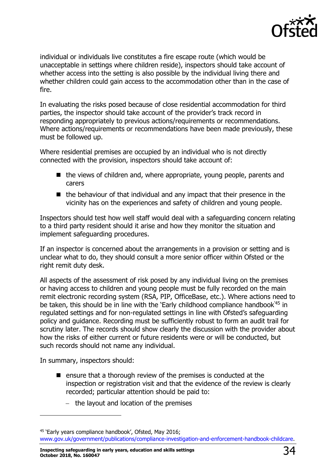

individual or individuals live constitutes a fire escape route (which would be unacceptable in settings where children reside), inspectors should take account of whether access into the setting is also possible by the individual living there and whether children could gain access to the accommodation other than in the case of fire.

In evaluating the risks posed because of close residential accommodation for third parties, the inspector should take account of the provider's track record in responding appropriately to previous actions/requirements or recommendations. Where actions/requirements or recommendations have been made previously, these must be followed up.

Where residential premises are occupied by an individual who is not directly connected with the provision, inspectors should take account of:

- $\blacksquare$  the views of children and, where appropriate, young people, parents and carers
- $\blacksquare$  the behaviour of that individual and any impact that their presence in the vicinity has on the experiences and safety of children and young people.

Inspectors should test how well staff would deal with a safeguarding concern relating to a third party resident should it arise and how they monitor the situation and implement safeguarding procedures.

If an inspector is concerned about the arrangements in a provision or setting and is unclear what to do, they should consult a more senior officer within Ofsted or the right remit duty desk.

All aspects of the assessment of risk posed by any individual living on the premises or having access to children and young people must be fully recorded on the main remit electronic recording system (RSA, PIP, OfficeBase, etc.). Where actions need to be taken, this should be in line with the 'Early childhood compliance handbook'<sup>45</sup> in regulated settings and for non-regulated settings in line with Ofsted's safeguarding policy and guidance. Recording must be sufficiently robust to form an audit trail for scrutiny later. The records should show clearly the discussion with the provider about how the risks of either current or future residents were or will be conducted, but such records should not name any individual.

In summary, inspectors should:

j

- $\blacksquare$  ensure that a thorough review of the premises is conducted at the inspection or registration visit and that the evidence of the review is clearly recorded; particular attention should be paid to:
	- $-$  the layout and location of the premises

**Inspecting safeguarding in early years, education and skills settings October 2018, No. 160047** 34

<sup>45</sup> 'Early years compliance handbook', Ofsted, May 2016; [www.gov.uk/government/publications/compliance-investigation-and-enforcement-handbook-childcare.](http://www.gov.uk/government/publications/compliance-investigation-and-enforcement-handbook-childcare)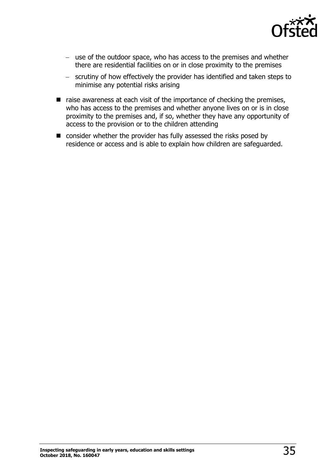

- use of the outdoor space, who has access to the premises and whether there are residential facilities on or in close proximity to the premises
- scrutiny of how effectively the provider has identified and taken steps to minimise any potential risks arising
- $\blacksquare$  raise awareness at each visit of the importance of checking the premises, who has access to the premises and whether anyone lives on or is in close proximity to the premises and, if so, whether they have any opportunity of access to the provision or to the children attending
- consider whether the provider has fully assessed the risks posed by residence or access and is able to explain how children are safeguarded.